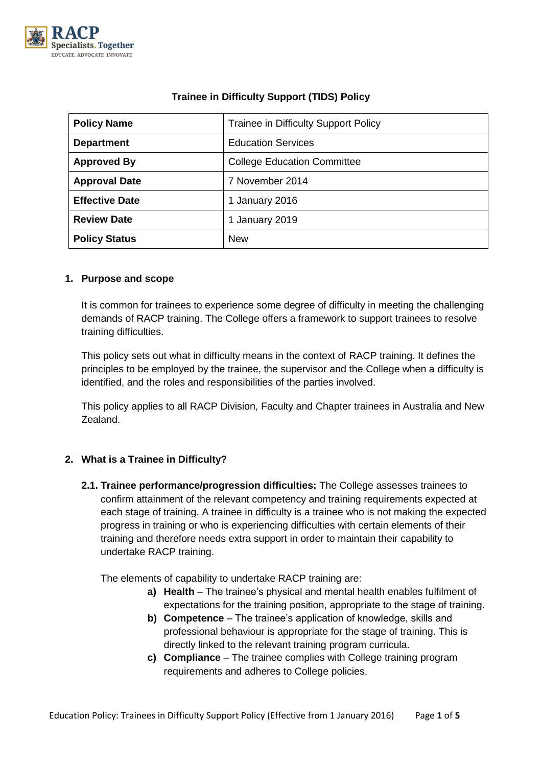

| <b>Policy Name</b>    | Trainee in Difficulty Support Policy |
|-----------------------|--------------------------------------|
| <b>Department</b>     | <b>Education Services</b>            |
| <b>Approved By</b>    | <b>College Education Committee</b>   |
| <b>Approval Date</b>  | 7 November 2014                      |
| <b>Effective Date</b> | 1 January 2016                       |
| <b>Review Date</b>    | 1 January 2019                       |
| <b>Policy Status</b>  | <b>New</b>                           |

# **Trainee in Difficulty Support (TIDS) Policy**

### **1. Purpose and scope**

It is common for trainees to experience some degree of difficulty in meeting the challenging demands of RACP training. The College offers a framework to support trainees to resolve training difficulties.

This policy sets out what in difficulty means in the context of RACP training. It defines the principles to be employed by the trainee, the supervisor and the College when a difficulty is identified, and the roles and responsibilities of the parties involved.

This policy applies to all RACP Division, Faculty and Chapter trainees in Australia and New Zealand.

## **2. What is a Trainee in Difficulty?**

**2.1. Trainee performance/progression difficulties:** The College assesses trainees to confirm attainment of the relevant competency and training requirements expected at each stage of training. A trainee in difficulty is a trainee who is not making the expected progress in training or who is experiencing difficulties with certain elements of their training and therefore needs extra support in order to maintain their capability to undertake RACP training.

The elements of capability to undertake RACP training are:

- **a) Health** The trainee's physical and mental health enables fulfilment of expectations for the training position, appropriate to the stage of training.
- **b) Competence** The trainee's application of knowledge, skills and professional behaviour is appropriate for the stage of training. This is directly linked to the relevant training program curricula.
- **c) Compliance**  The trainee complies with College training program requirements and adheres to College policies.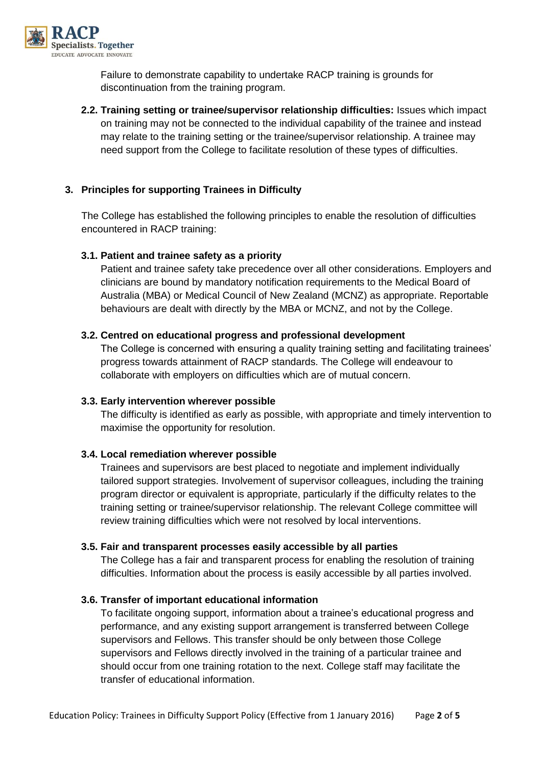

Failure to demonstrate capability to undertake RACP training is grounds for discontinuation from the training program.

**2.2. Training setting or trainee/supervisor relationship difficulties:** Issues which impact on training may not be connected to the individual capability of the trainee and instead may relate to the training setting or the trainee/supervisor relationship. A trainee may need support from the College to facilitate resolution of these types of difficulties.

### **3. Principles for supporting Trainees in Difficulty**

The College has established the following principles to enable the resolution of difficulties encountered in RACP training:

#### **3.1. Patient and trainee safety as a priority**

Patient and trainee safety take precedence over all other considerations. Employers and clinicians are bound by mandatory notification requirements to the Medical Board of Australia (MBA) or Medical Council of New Zealand (MCNZ) as appropriate. Reportable behaviours are dealt with directly by the MBA or MCNZ, and not by the College.

#### **3.2. Centred on educational progress and professional development**

The College is concerned with ensuring a quality training setting and facilitating trainees' progress towards attainment of RACP standards. The College will endeavour to collaborate with employers on difficulties which are of mutual concern.

#### **3.3. Early intervention wherever possible**

The difficulty is identified as early as possible, with appropriate and timely intervention to maximise the opportunity for resolution.

#### **3.4. Local remediation wherever possible**

Trainees and supervisors are best placed to negotiate and implement individually tailored support strategies. Involvement of supervisor colleagues, including the training program director or equivalent is appropriate, particularly if the difficulty relates to the training setting or trainee/supervisor relationship. The relevant College committee will review training difficulties which were not resolved by local interventions.

#### **3.5. Fair and transparent processes easily accessible by all parties**

The College has a fair and transparent process for enabling the resolution of training difficulties. Information about the process is easily accessible by all parties involved.

#### **3.6. Transfer of important educational information**

To facilitate ongoing support, information about a trainee's educational progress and performance, and any existing support arrangement is transferred between College supervisors and Fellows. This transfer should be only between those College supervisors and Fellows directly involved in the training of a particular trainee and should occur from one training rotation to the next. College staff may facilitate the transfer of educational information.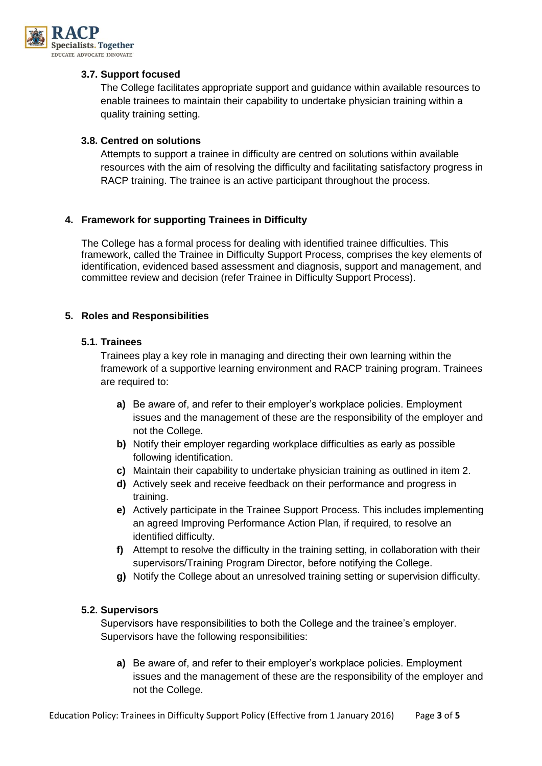

### **3.7. Support focused**

The College facilitates appropriate support and guidance within available resources to enable trainees to maintain their capability to undertake physician training within a quality training setting.

### **3.8. Centred on solutions**

Attempts to support a trainee in difficulty are centred on solutions within available resources with the aim of resolving the difficulty and facilitating satisfactory progress in RACP training. The trainee is an active participant throughout the process.

### **4. Framework for supporting Trainees in Difficulty**

The College has a formal process for dealing with identified trainee difficulties. This framework, called the Trainee in Difficulty Support Process, comprises the key elements of identification, evidenced based assessment and diagnosis, support and management, and committee review and decision (refer Trainee in Difficulty Support Process).

#### **5. Roles and Responsibilities**

### **5.1. Trainees**

Trainees play a key role in managing and directing their own learning within the framework of a supportive learning environment and RACP training program. Trainees are required to:

- **a)** Be aware of, and refer to their employer's workplace policies. Employment issues and the management of these are the responsibility of the employer and not the College.
- **b)** Notify their employer regarding workplace difficulties as early as possible following identification.
- **c)** Maintain their capability to undertake physician training as outlined in item 2.
- **d)** Actively seek and receive feedback on their performance and progress in training.
- **e)** Actively participate in the Trainee Support Process. This includes implementing an agreed Improving Performance Action Plan, if required, to resolve an identified difficulty.
- **f)** Attempt to resolve the difficulty in the training setting, in collaboration with their supervisors/Training Program Director, before notifying the College.
- **g)** Notify the College about an unresolved training setting or supervision difficulty.

#### **5.2. Supervisors**

Supervisors have responsibilities to both the College and the trainee's employer. Supervisors have the following responsibilities:

**a)** Be aware of, and refer to their employer's workplace policies. Employment issues and the management of these are the responsibility of the employer and not the College.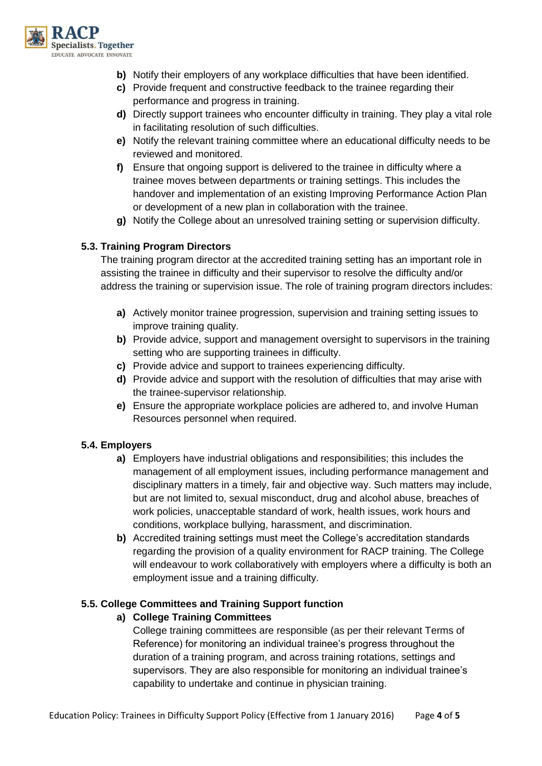

- **b)** Notify their employers of any workplace difficulties that have been identified.
- **c)** Provide frequent and constructive feedback to the trainee regarding their performance and progress in training.
- **d)** Directly support trainees who encounter difficulty in training. They play a vital role in facilitating resolution of such difficulties.
- **e)** Notify the relevant training committee where an educational difficulty needs to be reviewed and monitored.
- **f)** Ensure that ongoing support is delivered to the trainee in difficulty where a trainee moves between departments or training settings. This includes the handover and implementation of an existing Improving Performance Action Plan or development of a new plan in collaboration with the trainee.
- **g)** Notify the College about an unresolved training setting or supervision difficulty.

### **5.3. Training Program Directors**

The training program director at the accredited training setting has an important role in assisting the trainee in difficulty and their supervisor to resolve the difficulty and/or address the training or supervision issue. The role of training program directors includes:

- **a)** Actively monitor trainee progression, supervision and training setting issues to improve training quality.
- **b)** Provide advice, support and management oversight to supervisors in the training setting who are supporting trainees in difficulty.
- **c)** Provide advice and support to trainees experiencing difficulty.
- **d)** Provide advice and support with the resolution of difficulties that may arise with the trainee-supervisor relationship.
- **e)** Ensure the appropriate workplace policies are adhered to, and involve Human Resources personnel when required.

## **5.4. Employers**

- **a)** Employers have industrial obligations and responsibilities; this includes the management of all employment issues, including performance management and disciplinary matters in a timely, fair and objective way. Such matters may include, but are not limited to, sexual misconduct, drug and alcohol abuse, breaches of work policies, unacceptable standard of work, health issues, work hours and conditions, workplace bullying, harassment, and discrimination.
- **b)** Accredited training settings must meet the College's accreditation standards regarding the provision of a quality environment for RACP training. The College will endeavour to work collaboratively with employers where a difficulty is both an employment issue and a training difficulty.

#### **5.5. College Committees and Training Support function**

## **a) College Training Committees**

College training committees are responsible (as per their relevant Terms of Reference) for monitoring an individual trainee's progress throughout the duration of a training program, and across training rotations, settings and supervisors. They are also responsible for monitoring an individual trainee's capability to undertake and continue in physician training.